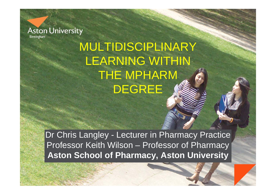

# MULTIDISCIPLINARY LEARNING WITHIN THE MPHARM DEGREE

Dr Chris Langley - Lecturer in Pharmacy Practice Professor Keith Wilson – Professor of Pharmacy **Aston School of Pharmacy, Aston University**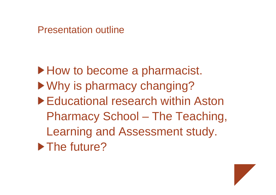Presentation outline

▶ How to become a pharmacist. ▶ Why is pharmacy changing? ▶ Educational research within Aston Pharmacy School – The Teaching, Learning and Assessment study. ▶ The future?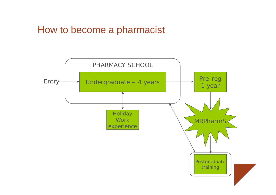## How to become a pharmacist

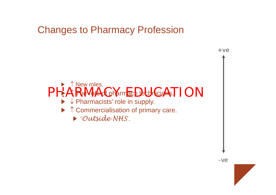#### Changes to Pharmacy Profession



-ve

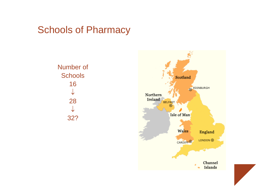#### Schools of Pharmacy

Number of Schools 16  $\downarrow$ 28  $\downarrow$ 32?



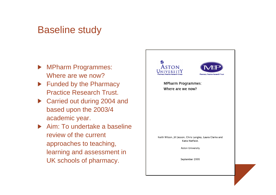#### Baseline study

- MPharm Programmes: Where are we now?
- Funded by the Pharmacy Practice Research Trust.
- ▶ Carried out during 2004 and based upon the 2003/4 academic year.
- ▶ Aim: To undertake a baseline review of the current approaches to teaching, learning and assessment in UK schools of pharmacy.

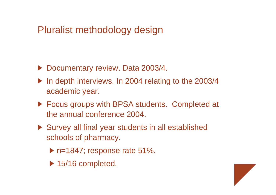## Pluralist methodology design

- ▶ Documentary review. Data 2003/4.
- ▶ In depth interviews. In 2004 relating to the 2003/4 academic year.
- ▶ Focus groups with BPSA students. Completed at the annual conference 2004.
- ▶ Survey all final year students in all established schools of pharmacy.
	- ▶ n=1847; response rate 51%.
	- ▶ 15/16 completed.

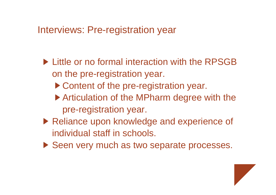## Interviews: Pre-registration year

- **Little or no formal interaction with the RPSGB** on the pre-registration year.
	- ▶ Content of the pre-registration year.
	- ▶ Articulation of the MPharm degree with the pre-registration year.
- ▶ Reliance upon knowledge and experience of individual staff in schools.
- ▶ Seen very much as two separate processes.

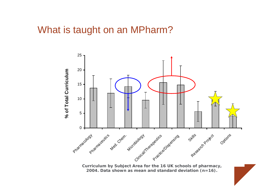#### What is taught on an MPharm?



**Curriculum by Subject Area for the 16 UK schools of pharmacy, 2004. Data shown as mean and standard deviation (n=16).**

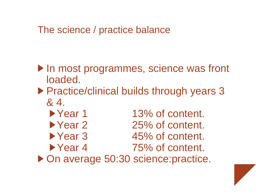## The science / practice balance

- In most programmes, science was front loaded.
- ▶ Practice/clinical builds through years 3 & 4.
- ▶ Year 1 13% of content. ▶ Year 2 25% of content. ▶ Year 3 45% of content. ▶ Year 4 75% of content. ▶ On average 50:30 science: practice.

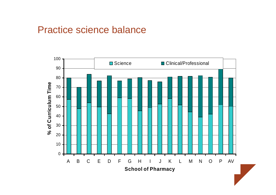#### Practice science balance

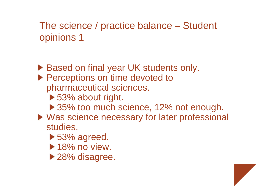# The science / practice balance – Student opinions 1

- ▶ Based on final year UK students only. **Perceptions on time devoted to** pharmaceutical sciences.
	- ▶ 53% about right.
	- ▶ 35% too much science, 12% not enough.
- ▶ Was science necessary for later professional studies.
	- ▶ 53% agreed.
	- $\blacktriangleright$  18% no view.
	- ▶ 28% disagree.

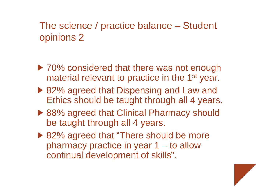# The science / practice balance – Student opinions 2

- ▶ 70% considered that there was not enough material relevant to practice in the 1<sup>st</sup> year.
- ▶ 82% agreed that Dispensing and Law and Ethics should be taught through all 4 years.
- ▶ 88% agreed that Clinical Pharmacy should be taught through all 4 years.
- ▶ 82% agreed that "There should be more" pharmacy practice in year 1 – to allow continual development of skills".

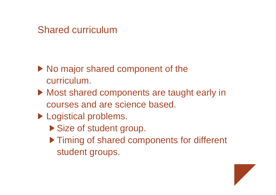#### Shared curriculum

- ▶ No major shared component of the curriculum.
- Most shared components are taught early in courses and are science based.
- **Logistical problems.** 
	- ▶ Size of student group.
	- ▶ Timing of shared components for different student groups.

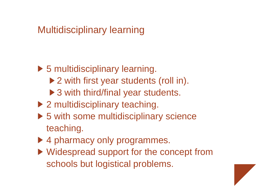## Multidisciplinary learning

- ▶ 5 multidisciplinary learning.
	- ▶ 2 with first year students (roll in).
	- ▶ 3 with third/final year students.
- ▶ 2 multidisciplinary teaching.
- ▶ 5 with some multidisciplinary science teaching.
- ▶ 4 pharmacy only programmes.
- ▶ Widespread support for the concept from schools but logistical problems.

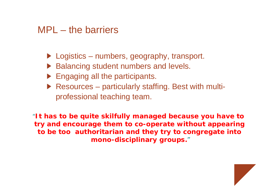#### MPL – the barriers

- $\blacktriangleright$  Logistics numbers, geography, transport.
- ▶ Balancing student numbers and levels.
- $\blacktriangleright$  Engaging all the participants.
- ▶ Resources particularly staffing. Best with multiprofessional teaching team.

"*It has to be quite skilfully managed because you have to try and encourage them to co-operate without appearing to be too authoritarian and they try to congregate into mono-disciplinary groups.*"

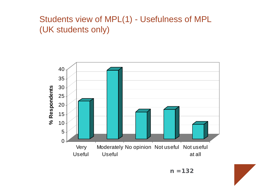#### Students view of MPL(1) - Usefulness of MPL (UK students only)



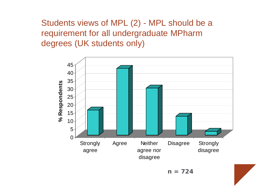Students views of MPL (2) - MPL should be a requirement for all undergraduate MPharm degrees (UK students only)



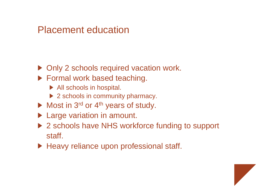#### Placement education

- ▶ Only 2 schools required vacation work.
- **Formal work based teaching.** 
	- ▶ All schools in hospital.
	- ▶ 2 schools in community pharmacy.
- $\blacktriangleright$  Most in 3<sup>rd</sup> or 4<sup>th</sup> years of study.
- **Large variation in amount.**
- ▶ 2 schools have NHS workforce funding to support staff.
- ▶ Heavy reliance upon professional staff.

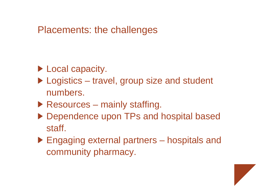### Placements: the challenges

- **Local capacity.**
- ▶ Logistics travel, group size and student numbers.
- $\blacktriangleright$  Resources mainly staffing.
- ▶ Dependence upon TPs and hospital based staff.
- ▶ Engaging external partners hospitals and community pharmacy.

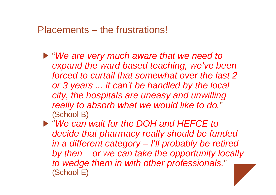#### Placements – the frustrations!

- "*We are very much aware that we need to expand the ward based teaching, we've been forced to curtail that somewhat over the last 2 or 3 years ... it can't be handled by the local city, the hospitals are uneasy and unwilling really to absorb what we would like to do.*" (School B)
- "*We can wait for the DOH and HEFCE to decide that pharmacy really should be funded in a different category – I'll probably be retired by then – or we can take the opportunity locally to wedge them in with other professionals.*" (School E)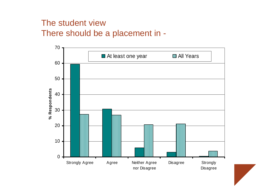#### The student viewThere should be a placement in -



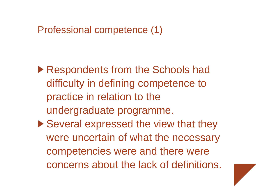## Professional competence (1)

- ▶ Respondents from the Schools had difficulty in defining competence to practice in relation to the undergraduate programme.
- ▶ Several expressed the view that they were uncertain of what the necessary competencies were and there were concerns about the lack of definitions.

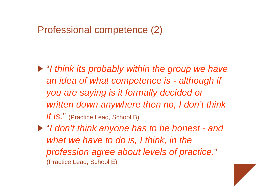## Professional competence (2)

- "*I think its probably within the group we have an idea of what competence is - although if you are saying is it formally decided or written down anywhere then no, I don't think it is.*" (Practice Lead, School B)
- "*I don't think anyone has to be honest - and what we have to do is, I think, in the profession agree about levels of practice.*" (Practice Lead, School E)

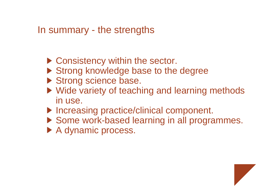## In summary - the strengths

- ▶ Consistency within the sector.
- ▶ Strong knowledge base to the degree
- Strong science base.
- ▶ Wide variety of teaching and learning methods in use.
- ▶ Increasing practice/clinical component.
- ▶ Some work-based learning in all programmes.
- A dynamic process.

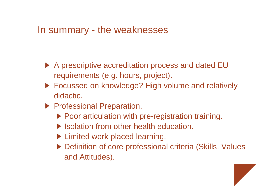#### In summary - the weaknesses

- ▶ A prescriptive accreditation process and dated EU requirements (e.g. hours, project).
- ▶ Focussed on knowledge? High volume and relatively didactic.
- **Professional Preparation.** 
	- ▶ Poor articulation with pre-registration training.
	- ▶ Isolation from other health education.
	- ▶ Limited work placed learning.
	- ▶ Definition of core professional criteria (Skills, Values and Attitudes).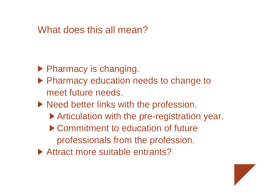#### What does this all mean?

- $\blacktriangleright$  Pharmacy is changing.
- ▶ Pharmacy education needs to change to meet future needs.
- ▶ Need better links with the profession.
	- ▶ Articulation with the pre-registration year.
	- ▶ Commitment to education of future professionals from the profession.
- ▶ Attract more suitable entrants?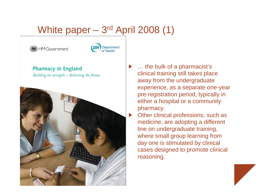# White paper – 3r<sup>d</sup> April 2008 (1)





**Pharmacy in England** Building on strengths - delivering the future



… the bulk of a pharmacist's clinical training still takes place away from the undergraduate experience, as a separate one-year pre-registration period, typically in either a hospital or a community pharmacy.

Other clinical professions, such as medicine, are adopting a different line on undergraduate training, where small group learning from day one is stimulated by clinical cases designed to promote clinical reasoning.

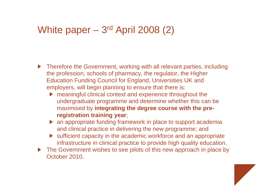## White paper – 3r<sup>d</sup> April 2008 (2)

- ▶ Therefore the Government, working with all relevant parties, including the profession, schools of pharmacy, the regulator, the Higher Education Funding Council for England, Universities UK and employers, will begin planning to ensure that there is:
	- ▶ meaningful clinical context and experience throughout the undergraduate programme and determine whether this can be maximised by **integrating the degree course with the preregistration training year**;
	- ▶ an appropriate funding framework in place to support academia and clinical practice in delivering the new programme; and
	- ▶ sufficient capacity in the academic workforce and an appropriate infrastructure in clinical practice to provide high quality education.
- ▶ The Government wishes to see pilots of this new approach in place by October 2010.